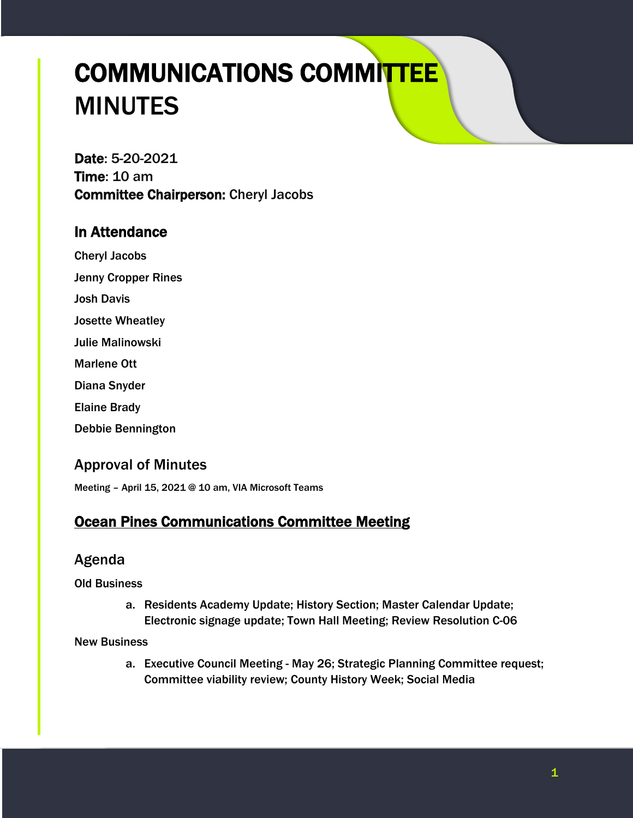# COMMUNICATIONS COMMITTEE MINUTES

Date: 5-20-2021 Time: 10 am Committee Chairperson: Cheryl Jacobs

## In Attendance

Cheryl Jacobs Jenny Cropper Rines

Josh Davis

Josette Wheatley

Julie Malinowski

Marlene Ott

Diana Snyder

Elaine Brady

Debbie Bennington

# Approval of Minutes

Meeting – April 15, 2021 @ 10 am, VIA Microsoft Teams

# Ocean Pines Communications Committee Meeting

## Agenda

Old Business

a. Residents Academy Update; History Section; Master Calendar Update; Electronic signage update; Town Hall Meeting; Review Resolution C-06

#### New Business

a. Executive Council Meeting - May 26; Strategic Planning Committee request; Committee viability review; County History Week; Social Media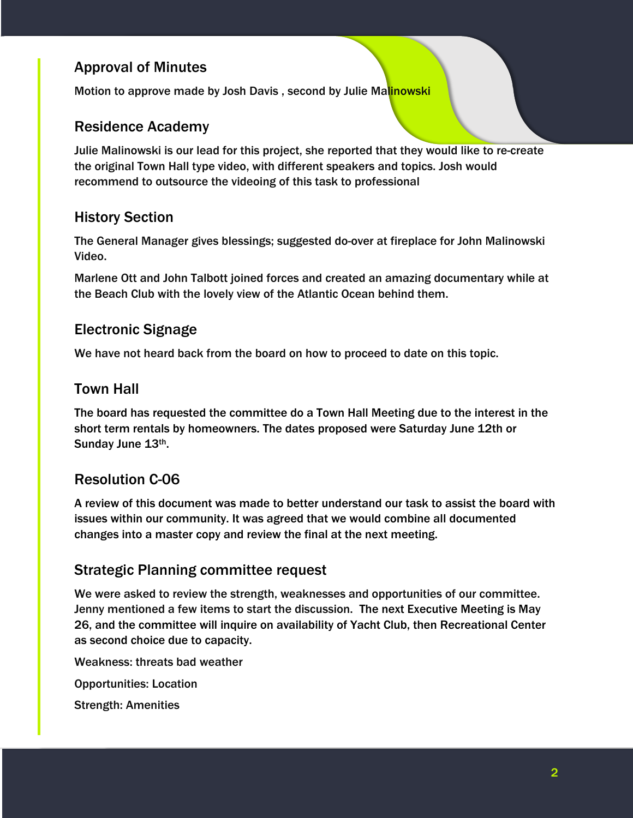# Approval of Minutes

Motion to approve made by Josh Davis, second by Julie Malinowski

#### Residence Academy

Julie Malinowski is our lead for this project, she reported that they would like to re-create the original Town Hall type video, with different speakers and topics. Josh would recommend to outsource the videoing of this task to professional

#### History Section

The General Manager gives blessings; suggested do-over at fireplace for John Malinowski Video.

Marlene Ott and John Talbott joined forces and created an amazing documentary while at the Beach Club with the lovely view of the Atlantic Ocean behind them.

#### Electronic Signage

We have not heard back from the board on how to proceed to date on this topic.

#### Town Hall

The board has requested the committee do a Town Hall Meeting due to the interest in the short term rentals by homeowners. The dates proposed were Saturday June 12th or Sunday June 13th.

#### Resolution C-06

A review of this document was made to better understand our task to assist the board with issues within our community. It was agreed that we would combine all documented changes into a master copy and review the final at the next meeting.

#### Strategic Planning committee request

We were asked to review the strength, weaknesses and opportunities of our committee. Jenny mentioned a few items to start the discussion. The next Executive Meeting is May 26, and the committee will inquire on availability of Yacht Club, then Recreational Center as second choice due to capacity.

Weakness: threats bad weather

Opportunities: Location

Strength: Amenities